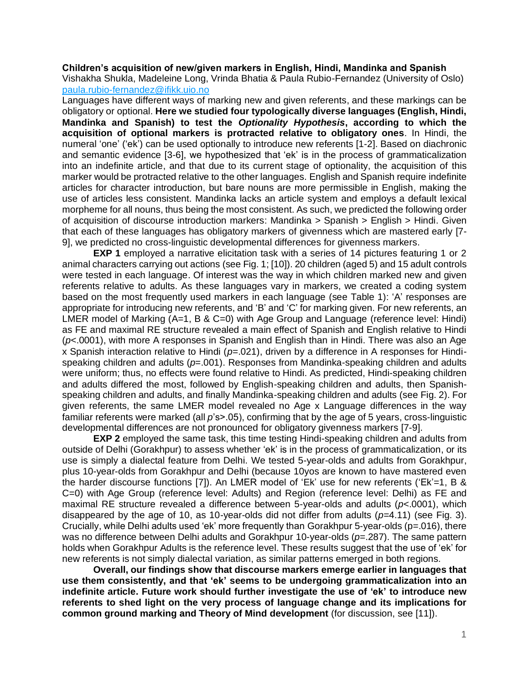## **Children's acquisition of new/given markers in English, Hindi, Mandinka and Spanish**

Vishakha Shukla, Madeleine Long, Vrinda Bhatia & Paula Rubio-Fernandez (University of Oslo) [paula.rubio-fernandez@ifikk.uio.no](mailto:paula.rubio-fernandez@ifikk.uio.no)

Languages have different ways of marking new and given referents, and these markings can be obligatory or optional. **Here we studied four typologically diverse languages (English, Hindi, Mandinka and Spanish) to test the** *Optionality Hypothesis***, according to which the acquisition of optional markers is protracted relative to obligatory ones**. In Hindi, the numeral 'one' ('ek') can be used optionally to introduce new referents [1-2]. Based on diachronic and semantic evidence [3-6], we hypothesized that 'ek' is in the process of grammaticalization into an indefinite article, and that due to its current stage of optionality, the acquisition of this marker would be protracted relative to the other languages. English and Spanish require indefinite articles for character introduction, but bare nouns are more permissible in English, making the use of articles less consistent. Mandinka lacks an article system and employs a default lexical morpheme for all nouns, thus being the most consistent. As such, we predicted the following order of acquisition of discourse introduction markers: Mandinka > Spanish > English > Hindi. Given that each of these languages has obligatory markers of givenness which are mastered early [7- 9], we predicted no cross-linguistic developmental differences for givenness markers.

**EXP 1** employed a narrative elicitation task with a series of 14 pictures featuring 1 or 2 animal characters carrying out actions (see Fig. 1; [10]). 20 children (aged 5) and 15 adult controls were tested in each language. Of interest was the way in which children marked new and given referents relative to adults. As these languages vary in markers, we created a coding system based on the most frequently used markers in each language (see Table 1): 'A' responses are appropriate for introducing new referents, and 'B' and 'C' for marking given. For new referents, an LMER model of Marking (A=1, B & C=0) with Age Group and Language (reference level: Hindi) as FE and maximal RE structure revealed a main effect of Spanish and English relative to Hindi (*p*<.0001), with more A responses in Spanish and English than in Hindi. There was also an Age x Spanish interaction relative to Hindi (*p*=.021), driven by a difference in A responses for Hindispeaking children and adults (*p*=.001). Responses from Mandinka-speaking children and adults were uniform; thus, no effects were found relative to Hindi. As predicted, Hindi-speaking children and adults differed the most, followed by English-speaking children and adults, then Spanishspeaking children and adults, and finally Mandinka-speaking children and adults (see Fig. 2). For given referents, the same LMER model revealed no Age x Language differences in the way familiar referents were marked (all *p*'s>.05), confirming that by the age of 5 years, cross-linguistic developmental differences are not pronounced for obligatory givenness markers [7-9].

**EXP 2** employed the same task, this time testing Hindi-speaking children and adults from outside of Delhi (Gorakhpur) to assess whether 'ek' is in the process of grammaticalization, or its use is simply a dialectal feature from Delhi. We tested 5-year-olds and adults from Gorakhpur, plus 10-year-olds from Gorakhpur and Delhi (because 10yos are known to have mastered even the harder discourse functions [7]). An LMER model of 'Ek' use for new referents ('Ek'=1, B & C=0) with Age Group (reference level: Adults) and Region (reference level: Delhi) as FE and maximal RE structure revealed a difference between 5-year-olds and adults (*p*<.0001), which disappeared by the age of 10, as 10-year-olds did not differ from adults (*p*=4.11) (see Fig. 3). Crucially, while Delhi adults used 'ek' more frequently than Gorakhpur 5-year-olds (p=.016), there was no difference between Delhi adults and Gorakhpur 10-year-olds ( $p=287$ ). The same pattern holds when Gorakhpur Adults is the reference level. These results suggest that the use of 'ek' for new referents is not simply dialectal variation, as similar patterns emerged in both regions.

**Overall, our findings show that discourse markers emerge earlier in languages that use them consistently, and that 'ek' seems to be undergoing grammaticalization into an indefinite article. Future work should further investigate the use of 'ek' to introduce new referents to shed light on the very process of language change and its implications for common ground marking and Theory of Mind development** (for discussion, see [11]).